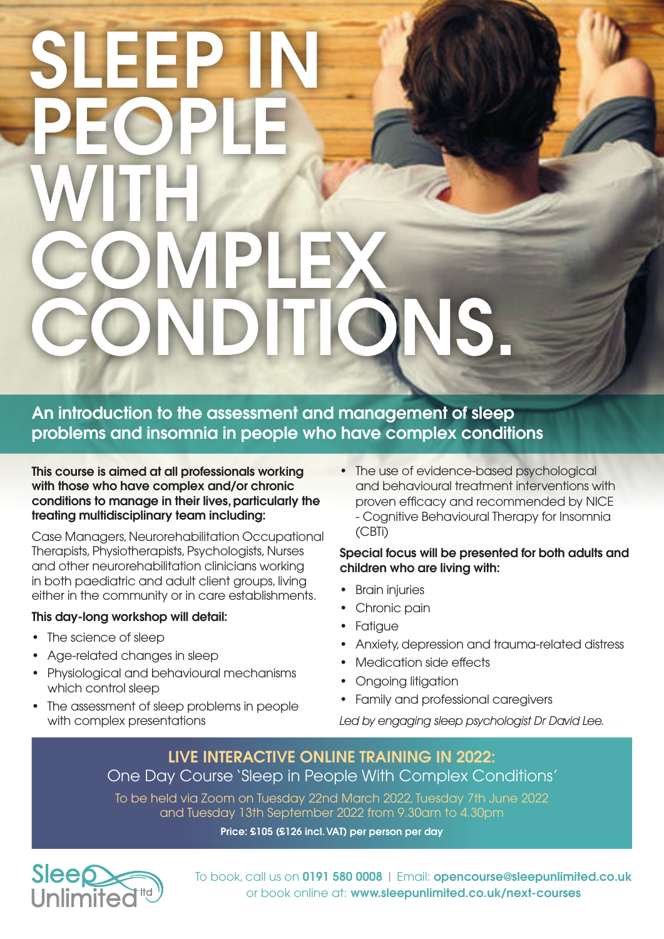# SLEEP IN PEOPLE WITH COMPLEX CONDITIONS.

An introduction to the assessment and management of sleep problems and insomnia in people who have complex conditions

This course is aimed at all professionals working with those who have complex and/or chronic conditions to manage in their lives, particularly the treating multidisciplinary team including:

Case Managers, Neurorehabilitation Occupational Therapists, Physiotherapists, Psychologists, Nurses and other neurorehabilitation clinicians working in both paediatric and adult client groups, living either in the community or in care establishments.

# This day-long workshop will detail:

- The science of sleep
- Age-related changes in sleep
- Physiological and behavioural mechanisms which control sleep
- The assessment of sleep problems in people with complex presentations

• The use of evidence-based psychological and behavioural treatment interventions with proven efficacy and recommended by NICE - Cognitive Behavioural Therapy for Insomnia (CBTi)

# Special focus will be presented for both adults and children who are living with:

- Brain injuries
- Chronic pain
- Fatigue
- Anxiety, depression and trauma-related distress
- Medication side effects
- Ongoing litigation
- Family and professional caregivers

Led by engaging sleep psychologist Dr David Lee.

# LIVE INTERACTIVE ONLINE TRAINING IN 2022: One Day Course 'Sleep in People With Complex Conditions'

To be held via Zoom on Tuesday 22nd March 2022, Tuesday 7th June 2022 and Tuesday 13th September 2022 from 9.30am to 4.30pm

Price: £105 (£126 incl. VAT) per person per day



To book, call us on 0191 580 0008 | Email: opencourse@sleepunlimited.co.uk or book online at: www.sleepunlimited.co.uk/next-courses